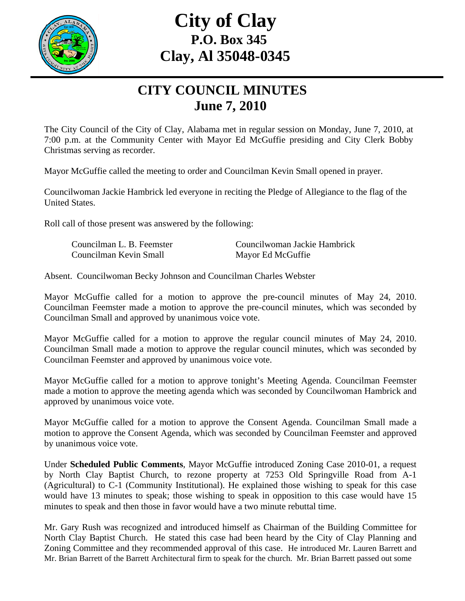

## **City of Clay P.O. Box 345 Clay, Al 35048-0345**

## **CITY COUNCIL MINUTES June 7, 2010**

The City Council of the City of Clay, Alabama met in regular session on Monday, June 7, 2010, at 7:00 p.m. at the Community Center with Mayor Ed McGuffie presiding and City Clerk Bobby Christmas serving as recorder.

Mayor McGuffie called the meeting to order and Councilman Kevin Small opened in prayer.

Councilwoman Jackie Hambrick led everyone in reciting the Pledge of Allegiance to the flag of the United States.

Roll call of those present was answered by the following:

Councilman Kevin Small Mayor Ed McGuffie

Councilman L. B. Feemster Councilwoman Jackie Hambrick

Absent. Councilwoman Becky Johnson and Councilman Charles Webster

Mayor McGuffie called for a motion to approve the pre-council minutes of May 24, 2010. Councilman Feemster made a motion to approve the pre-council minutes, which was seconded by Councilman Small and approved by unanimous voice vote.

Mayor McGuffie called for a motion to approve the regular council minutes of May 24, 2010. Councilman Small made a motion to approve the regular council minutes, which was seconded by Councilman Feemster and approved by unanimous voice vote.

Mayor McGuffie called for a motion to approve tonight's Meeting Agenda. Councilman Feemster made a motion to approve the meeting agenda which was seconded by Councilwoman Hambrick and approved by unanimous voice vote.

Mayor McGuffie called for a motion to approve the Consent Agenda. Councilman Small made a motion to approve the Consent Agenda, which was seconded by Councilman Feemster and approved by unanimous voice vote.

Under **Scheduled Public Comments**, Mayor McGuffie introduced Zoning Case 2010-01, a request by North Clay Baptist Church, to rezone property at 7253 Old Springville Road from A-1 (Agricultural) to C-1 (Community Institutional). He explained those wishing to speak for this case would have 13 minutes to speak; those wishing to speak in opposition to this case would have 15 minutes to speak and then those in favor would have a two minute rebuttal time.

Mr. Gary Rush was recognized and introduced himself as Chairman of the Building Committee for North Clay Baptist Church. He stated this case had been heard by the City of Clay Planning and Zoning Committee and they recommended approval of this case.He introduced Mr. Lauren Barrett and Mr. Brian Barrett of the Barrett Architectural firm to speak for the church. Mr. Brian Barrett passed out some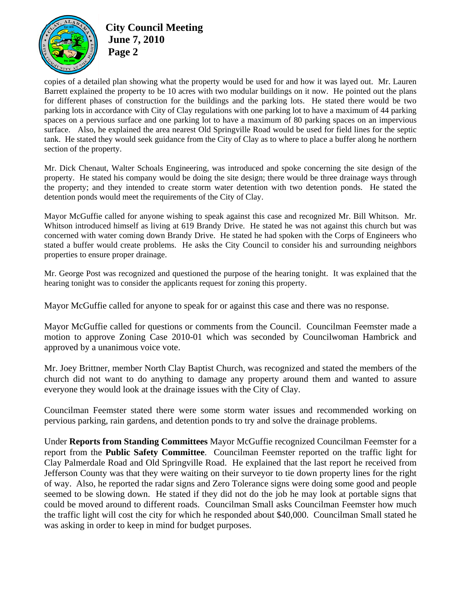

## **City Council Meeting June 7, 2010 Page 2**

copies of a detailed plan showing what the property would be used for and how it was layed out. Mr. Lauren Barrett explained the property to be 10 acres with two modular buildings on it now. He pointed out the plans for different phases of construction for the buildings and the parking lots. He stated there would be two parking lots in accordance with City of Clay regulations with one parking lot to have a maximum of 44 parking spaces on a pervious surface and one parking lot to have a maximum of 80 parking spaces on an impervious surface. Also, he explained the area nearest Old Springville Road would be used for field lines for the septic tank. He stated they would seek guidance from the City of Clay as to where to place a buffer along he northern section of the property.

Mr. Dick Chenaut, Walter Schoals Engineering, was introduced and spoke concerning the site design of the property. He stated his company would be doing the site design; there would be three drainage ways through the property; and they intended to create storm water detention with two detention ponds. He stated the detention ponds would meet the requirements of the City of Clay.

Mayor McGuffie called for anyone wishing to speak against this case and recognized Mr. Bill Whitson. Mr. Whitson introduced himself as living at 619 Brandy Drive. He stated he was not against this church but was concerned with water coming down Brandy Drive. He stated he had spoken with the Corps of Engineers who stated a buffer would create problems. He asks the City Council to consider his and surrounding neighbors properties to ensure proper drainage.

Mr. George Post was recognized and questioned the purpose of the hearing tonight. It was explained that the hearing tonight was to consider the applicants request for zoning this property.

Mayor McGuffie called for anyone to speak for or against this case and there was no response.

Mayor McGuffie called for questions or comments from the Council. Councilman Feemster made a motion to approve Zoning Case 2010-01 which was seconded by Councilwoman Hambrick and approved by a unanimous voice vote.

Mr. Joey Brittner, member North Clay Baptist Church, was recognized and stated the members of the church did not want to do anything to damage any property around them and wanted to assure everyone they would look at the drainage issues with the City of Clay.

Councilman Feemster stated there were some storm water issues and recommended working on pervious parking, rain gardens, and detention ponds to try and solve the drainage problems.

Under **Reports from Standing Committees** Mayor McGuffie recognized Councilman Feemster for a report from the **Public Safety Committee**. Councilman Feemster reported on the traffic light for Clay Palmerdale Road and Old Springville Road. He explained that the last report he received from Jefferson County was that they were waiting on their surveyor to tie down property lines for the right of way. Also, he reported the radar signs and Zero Tolerance signs were doing some good and people seemed to be slowing down. He stated if they did not do the job he may look at portable signs that could be moved around to different roads. Councilman Small asks Councilman Feemster how much the traffic light will cost the city for which he responded about \$40,000. Councilman Small stated he was asking in order to keep in mind for budget purposes.